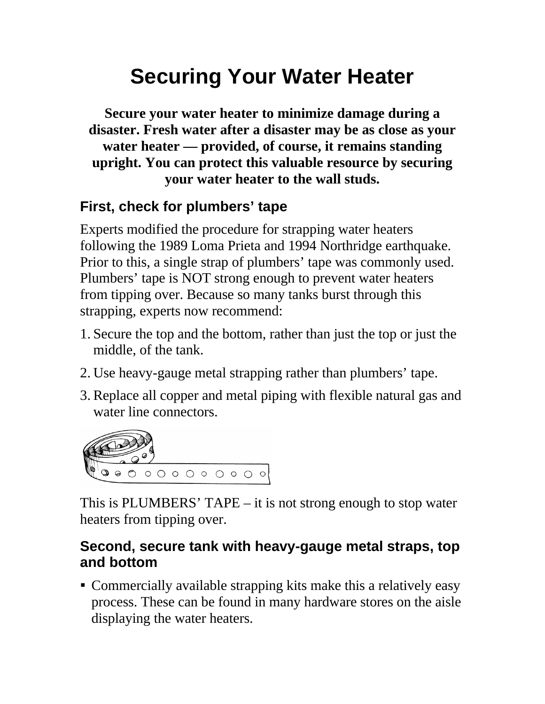## **Securing Your Water Heater**

**Secure your water heater to minimize damage during a disaster. Fresh water after a disaster may be as close as your water heater — provided, of course, it remains standing upright. You can protect this valuable resource by securing your water heater to the wall studs.**

## **First, check for plumbers' tape**

Experts modified the procedure for strapping water heaters following the 1989 Loma Prieta and 1994 Northridge earthquake. Prior to this, a single strap of plumbers' tape was commonly used. Plumbers' tape is NOT strong enough to prevent water heaters from tipping over. Because so many tanks burst through this strapping, experts now recommend:

- 1. Secure the top and the bottom, rather than just the top or just the middle, of the tank.
- 2. Use heavy-gauge metal strapping rather than plumbers' tape.
- 3. Replace all copper and metal piping with flexible natural gas and water line connectors.



This is PLUMBERS' TAPE – it is not strong enough to stop water heaters from tipping over.

## **Second, secure tank with heavy-gauge metal straps, top and bottom**

 Commercially available strapping kits make this a relatively easy process. These can be found in many hardware stores on the aisle displaying the water heaters.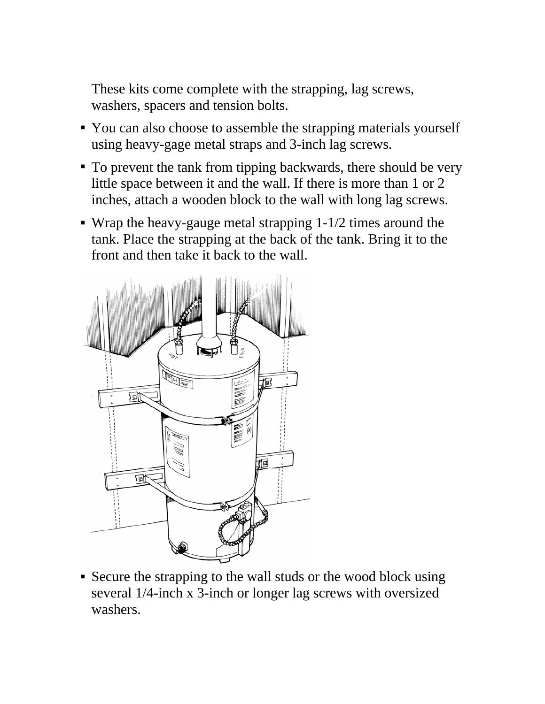These kits come complete with the strapping, lag screws, washers, spacers and tension bolts.

- You can also choose to assemble the strapping materials yourself using heavy-gage metal straps and 3-inch lag screws.
- To prevent the tank from tipping backwards, there should be very little space between it and the wall. If there is more than 1 or 2 inches, attach a wooden block to the wall with long lag screws.
- Wrap the heavy-gauge metal strapping 1-1/2 times around the tank. Place the strapping at the back of the tank. Bring it to the front and then take it back to the wall.



 Secure the strapping to the wall studs or the wood block using several 1/4-inch x 3-inch or longer lag screws with oversized washers.